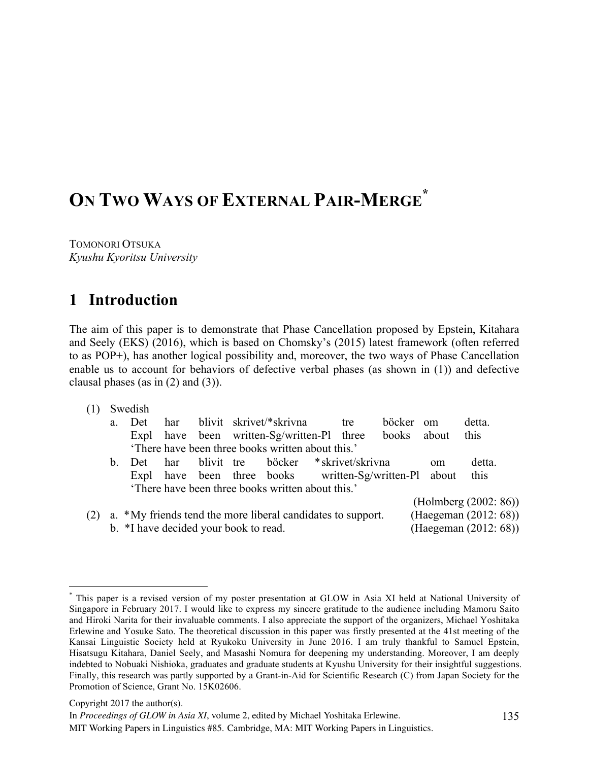# **ON TWO WAYS OF EXTERNAL PAIR-MERGE \***

TOMONORI OTSUKA *Kyushu Kyoritsu University*

# **1** Introduction

The aim of this paper is to demonstrate that Phase Cancellation proposed by Epstein, Kitahara and Seely (EKS) (2016), which is based on Chomsky's (2015) latest framework (often referred to as POP+), has another logical possibility and, moreover, the two ways of Phase Cancellation enable us to account for behaviors of defective verbal phases (as shown in (1)) and defective clausal phases (as in  $(2)$  and  $(3)$ ).

(1) Swedish

|     | a.          | Det.                                  | har. |            | blivit skrivet/*skrivna                                     | tre | <i>böcker</i> | $0$ m         | detta.                |
|-----|-------------|---------------------------------------|------|------------|-------------------------------------------------------------|-----|---------------|---------------|-----------------------|
|     |             |                                       |      |            | Expl have been written-Sg/written-Pl three                  |     | books         | about         | this                  |
|     |             |                                       |      |            | There have been three books written about this.'            |     |               |               |                       |
|     | $b_{\rm L}$ | Det                                   | har  | blivit tre | böcker *skrivet/skrivna                                     |     |               | <sub>om</sub> | detta.                |
|     |             |                                       |      |            | Expl have been three books written-Sg/written-Pl about      |     |               |               | this                  |
|     |             |                                       |      |            | There have been three books written about this.'            |     |               |               |                       |
|     |             |                                       |      |            |                                                             |     |               |               | (Holmberg (2002: 86)) |
| (2) |             |                                       |      |            | a. *My friends tend the more liberal candidates to support. |     |               |               | (Haegeman (2012: 68)) |
|     |             | b. *I have decided your book to read. |      |            |                                                             |     |               |               | (Haegeman (2012: 68)) |
|     |             |                                       |      |            |                                                             |     |               |               |                       |

 <sup>\*</sup> This paper is a revised version of my poster presentation at GLOW in Asia XI held at National University of Singapore in February 2017. I would like to express my sincere gratitude to the audience including Mamoru Saito and Hiroki Narita for their invaluable comments. I also appreciate the support of the organizers, Michael Yoshitaka Erlewine and Yosuke Sato. The theoretical discussion in this paper was firstly presented at the 41st meeting of the Kansai Linguistic Society held at Ryukoku University in June 2016. I am truly thankful to Samuel Epstein, Hisatsugu Kitahara, Daniel Seely, and Masashi Nomura for deepening my understanding. Moreover, I am deeply indebted to Nobuaki Nishioka, graduates and graduate students at Kyushu University for their insightful suggestions. Finally, this research was partly supported by a Grant-in-Aid for Scientific Research (C) from Japan Society for the Promotion of Science, Grant No. 15K02606.

Copyright 2017 the author(s).

In *Proceedings of GLOW in Asia XI*, volume 2, edited by Michael Yoshitaka Erlewine.

MIT Working Papers in Linguistics #85. Cambridge, MA: MIT Working Papers in Linguistics.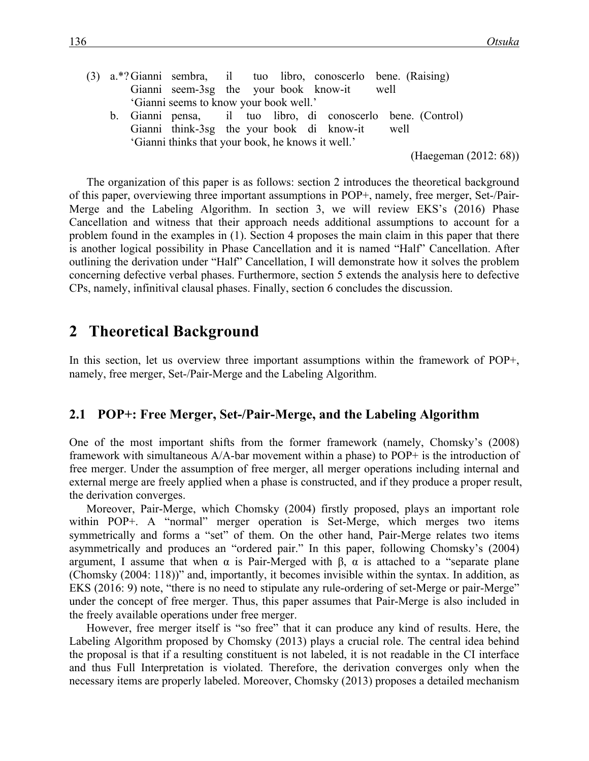|                                                   |  | (3) a.*?Gianni sembra, il tuo libro, conoscerlo bene (Raising) |  |  |  |  |  |  |  |
|---------------------------------------------------|--|----------------------------------------------------------------|--|--|--|--|--|--|--|
|                                                   |  | Gianni seem-3sg the your book know-it well                     |  |  |  |  |  |  |  |
|                                                   |  | 'Gianni seems to know your book well.'                         |  |  |  |  |  |  |  |
|                                                   |  | b. Gianni pensa, il tuo libro, di conoscerlo bene. (Control)   |  |  |  |  |  |  |  |
|                                                   |  | Gianni think-3sg the your book di know-it well                 |  |  |  |  |  |  |  |
| 'Gianni thinks that your book, he knows it well.' |  |                                                                |  |  |  |  |  |  |  |

(Haegeman (2012: 68))

The organization of this paper is as follows: section 2 introduces the theoretical background of this paper, overviewing three important assumptions in POP+, namely, free merger, Set-/Pair-Merge and the Labeling Algorithm. In section 3, we will review EKS's (2016) Phase Cancellation and witness that their approach needs additional assumptions to account for a problem found in the examples in (1). Section 4 proposes the main claim in this paper that there is another logical possibility in Phase Cancellation and it is named "Half" Cancellation. After outlining the derivation under "Half" Cancellation, I will demonstrate how it solves the problem concerning defective verbal phases. Furthermore, section 5 extends the analysis here to defective CPs, namely, infinitival clausal phases. Finally, section 6 concludes the discussion.

# 2 Theoretical Background

In this section, let us overview three important assumptions within the framework of POP+, namely, free merger, Set-/Pair-Merge and the Labeling Algorithm.

### **2.1 POP+: Free Merger, Set-/Pair-Merge, and the Labeling Algorithm**

One of the most important shifts from the former framework (namely, Chomsky's (2008) framework with simultaneous A/A-bar movement within a phase) to POP+ is the introduction of free merger. Under the assumption of free merger, all merger operations including internal and external merge are freely applied when a phase is constructed, and if they produce a proper result, the derivation converges.

Moreover, Pair-Merge, which Chomsky (2004) firstly proposed, plays an important role within POP+. A "normal" merger operation is Set-Merge, which merges two items symmetrically and forms a "set" of them. On the other hand, Pair-Merge relates two items asymmetrically and produces an "ordered pair." In this paper, following Chomsky's (2004) argument, I assume that when  $\alpha$  is Pair-Merged with β,  $\alpha$  is attached to a "separate plane (Chomsky (2004: 118))" and, importantly, it becomes invisible within the syntax. In addition, as EKS (2016: 9) note, "there is no need to stipulate any rule-ordering of set-Merge or pair-Merge" under the concept of free merger. Thus, this paper assumes that Pair-Merge is also included in the freely available operations under free merger.

However, free merger itself is "so free" that it can produce any kind of results. Here, the Labeling Algorithm proposed by Chomsky (2013) plays a crucial role. The central idea behind the proposal is that if a resulting constituent is not labeled, it is not readable in the CI interface and thus Full Interpretation is violated. Therefore, the derivation converges only when the necessary items are properly labeled. Moreover, Chomsky (2013) proposes a detailed mechanism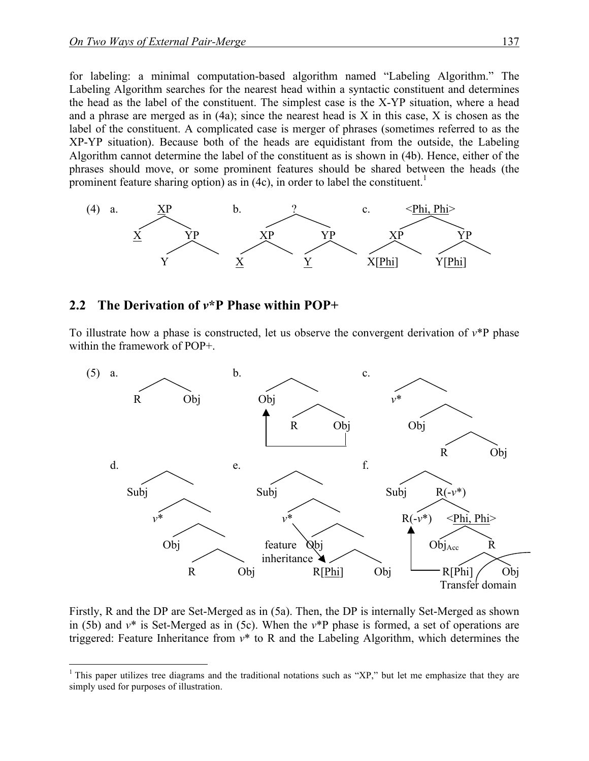for labeling: a minimal computation-based algorithm named "Labeling Algorithm." The Labeling Algorithm searches for the nearest head within a syntactic constituent and determines the head as the label of the constituent. The simplest case is the X-YP situation, where a head and a phrase are merged as in  $(4a)$ ; since the nearest head is X in this case, X is chosen as the label of the constituent. A complicated case is merger of phrases (sometimes referred to as the XP-YP situation). Because both of the heads are equidistant from the outside, the Labeling Algorithm cannot determine the label of the constituent as is shown in (4b). Hence, either of the phrases should move, or some prominent features should be shared between the heads (the prominent feature sharing option) as in  $(4c)$ , in order to label the constituent.<sup>1</sup>



#### **2.2**xx**The Derivation of** *v***\*P Phase within POP+**

To illustrate how a phase is constructed, let us observe the convergent derivation of  $v^*P$  phase within the framework of POP+.



Firstly, R and the DP are Set-Merged as in (5a). Then, the DP is internally Set-Merged as shown in (5b) and *v*\* is Set-Merged as in (5c). When the *v*\*P phase is formed, a set of operations are triggered: Feature Inheritance from *v*\* to R and the Labeling Algorithm, which determines the

<sup>&</sup>lt;sup>1</sup> This paper utilizes tree diagrams and the traditional notations such as "XP," but let me emphasize that they are simply used for purposes of illustration.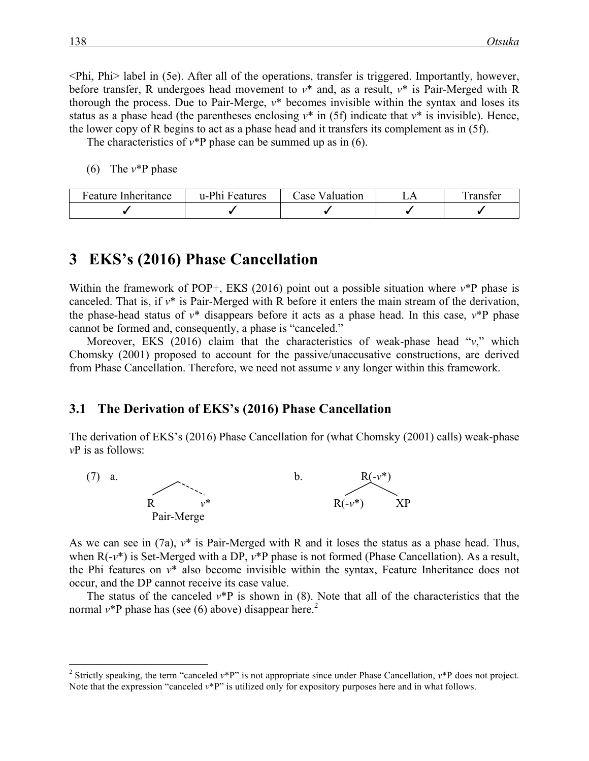<Phi, Phi> label in (5e). After all of the operations, transfer is triggered. Importantly, however, before transfer, R undergoes head movement to *v*\* and, as a result, *v*\* is Pair-Merged with R thorough the process. Due to Pair-Merge, *v*\* becomes invisible within the syntax and loses its status as a phase head (the parentheses enclosing  $v^*$  in (5f) indicate that  $v^*$  is invisible). Hence, the lower copy of R begins to act as a phase head and it transfers its complement as in (5f).

The characteristics of  $v^*P$  phase can be summed up as in (6).

(6) The *v*\*P phase

| Feature<br>Inheritance | u-Phi<br><b>Features</b> | Lase<br>Valuation | ranster |
|------------------------|--------------------------|-------------------|---------|
|                        |                          |                   |         |

# **3**xx**EKS's (2016) Phase Cancellation**

Within the framework of POP+, EKS (2016) point out a possible situation where  $v^*$ P phase is canceled. That is, if *v*\* is Pair-Merged with R before it enters the main stream of the derivation, the phase-head status of  $v^*$  disappears before it acts as a phase head. In this case,  $v^*P$  phase cannot be formed and, consequently, a phase is "canceled."

Moreover, EKS (2016) claim that the characteristics of weak-phase head "*v*," which Chomsky (2001) proposed to account for the passive/unaccusative constructions, are derived from Phase Cancellation. Therefore, we need not assume *v* any longer within this framework.

#### **3.1 The Derivation of EKS's (2016) Phase Cancellation**

The derivation of EKS's (2016) Phase Cancellation for (what Chomsky (2001) calls) weak-phase *v*P is as follows:



As we can see in (7a), *v*\* is Pair-Merged with R and it loses the status as a phase head. Thus, when  $R(-v^*)$  is Set-Merged with a DP,  $v^*P$  phase is not formed (Phase Cancellation). As a result, the Phi features on *v*\* also become invisible within the syntax, Feature Inheritance does not occur, and the DP cannot receive its case value.

The status of the canceled  $v^*P$  is shown in (8). Note that all of the characteristics that the normal  $v^*$ P phase has (see (6) above) disappear here.<sup>2</sup>

<sup>&</sup>lt;sup>2</sup> Strictly speaking, the term "canceled  $v^*P$ " is not appropriate since under Phase Cancellation,  $v^*P$  does not project. Note that the expression "canceled *v*\*P" is utilized only for expository purposes here and in what follows.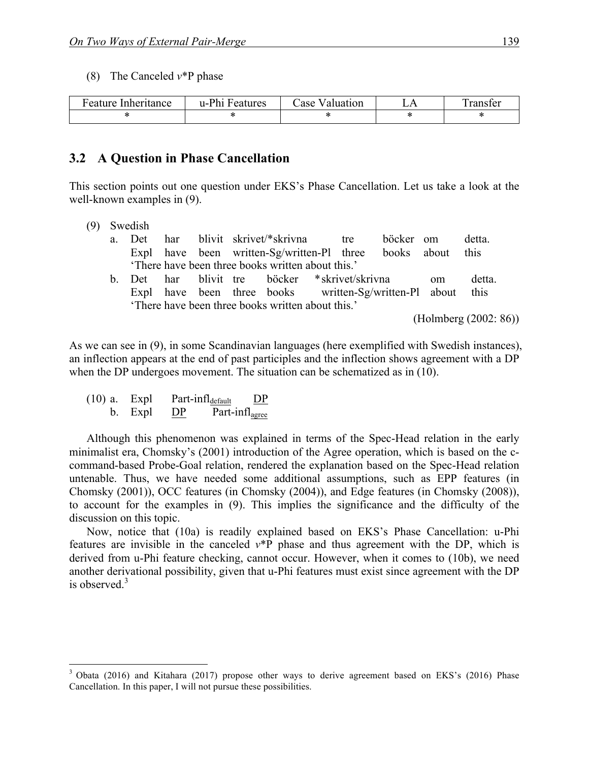(8) The Canceled *v*\*P phase

| Feature Inheritance | u-Phi<br>Features | Valuation<br>Lase | ranster |
|---------------------|-------------------|-------------------|---------|
|                     |                   |                   |         |

#### **3.2**xx**A Question in Phase Cancellation**

This section points out one question under EKS's Phase Cancellation. Let us take a look at the well-known examples in (9).

- (9) Swedish
	- a. Det har blivit skrivet/\*skrivna tre böcker om detta. Expl have been written-Sg/written-Pl three books about this 'There have been three books written about this.' b. Det har blivit tre böcker \*skrivet/skrivna om detta.
	- Expl have been three books written-Sg/written-Pl about this 'There have been three books written about this.'

(Holmberg (2002: 86))

As we can see in (9), in some Scandinavian languages (here exemplified with Swedish instances), an inflection appears at the end of past participles and the inflection shows agreement with a DP when the DP undergoes movement. The situation can be schematized as in (10).

(10) a. Expl Part-infl<sub>default</sub> DP b. Expl DP Part-infl<sub>agree</sub>

Although this phenomenon was explained in terms of the Spec-Head relation in the early minimalist era, Chomsky's (2001) introduction of the Agree operation, which is based on the ccommand-based Probe-Goal relation, rendered the explanation based on the Spec-Head relation untenable. Thus, we have needed some additional assumptions, such as EPP features (in Chomsky (2001)), OCC features (in Chomsky (2004)), and Edge features (in Chomsky (2008)), to account for the examples in (9). This implies the significance and the difficulty of the discussion on this topic.

Now, notice that (10a) is readily explained based on EKS's Phase Cancellation: u-Phi features are invisible in the canceled *v*\*P phase and thus agreement with the DP, which is derived from u-Phi feature checking, cannot occur. However, when it comes to (10b), we need another derivational possibility, given that u-Phi features must exist since agreement with the DP is observed. $3$ 

<sup>&</sup>lt;sup>3</sup> Obata (2016) and Kitahara (2017) propose other ways to derive agreement based on EKS's (2016) Phase Cancellation. In this paper, I will not pursue these possibilities.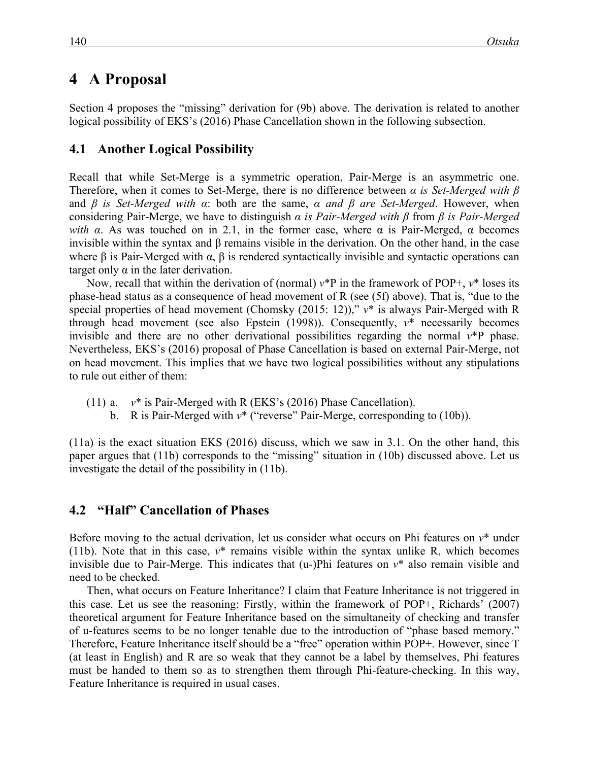# 4 A Proposal

Section 4 proposes the "missing" derivation for (9b) above. The derivation is related to another logical possibility of EKS's (2016) Phase Cancellation shown in the following subsection.

## **4.1 Another Logical Possibility**

Recall that while Set-Merge is a symmetric operation, Pair-Merge is an asymmetric one. Therefore, when it comes to Set-Merge, there is no difference between *α is Set-Merged with β* and *β is Set-Merged with α*: both are the same, *α and β are Set-Merged*. However, when considering Pair-Merge, we have to distinguish *α is Pair-Merged with β* from *β is Pair-Merged with*  $\alpha$ *.* As was touched on in 2.1, in the former case, where  $\alpha$  is Pair-Merged,  $\alpha$  becomes invisible within the syntax and β remains visible in the derivation. On the other hand, in the case where  $\beta$  is Pair-Merged with  $\alpha$ ,  $\beta$  is rendered syntactically invisible and syntactic operations can target only  $\alpha$  in the later derivation.

Now, recall that within the derivation of (normal) *v*\*P in the framework of POP+, *v*\* loses its phase-head status as a consequence of head movement of R (see (5f) above). That is, "due to the special properties of head movement (Chomsky (2015: 12))," *v*\* is always Pair-Merged with R through head movement (see also Epstein (1998)). Consequently, *v*\* necessarily becomes invisible and there are no other derivational possibilities regarding the normal *v*\*P phase. Nevertheless, EKS's (2016) proposal of Phase Cancellation is based on external Pair-Merge, not on head movement. This implies that we have two logical possibilities without any stipulations to rule out either of them:

(11) a. *v*\* is Pair-Merged with R (EKS's (2016) Phase Cancellation).

b. R is Pair-Merged with  $v^*$  ("reverse" Pair-Merge, corresponding to (10b)).

(11a) is the exact situation EKS (2016) discuss, which we saw in 3.1. On the other hand, this paper argues that (11b) corresponds to the "missing" situation in (10b) discussed above. Let us investigate the detail of the possibility in (11b).

## **4.2**xx**"Half" Cancellation of Phases**

Before moving to the actual derivation, let us consider what occurs on Phi features on *v*\* under (11b). Note that in this case, *v*\* remains visible within the syntax unlike R, which becomes invisible due to Pair-Merge. This indicates that (u-)Phi features on *v*\* also remain visible and need to be checked.

Then, what occurs on Feature Inheritance? I claim that Feature Inheritance is not triggered in this case. Let us see the reasoning: Firstly, within the framework of POP+, Richards' (2007) theoretical argument for Feature Inheritance based on the simultaneity of checking and transfer of u-features seems to be no longer tenable due to the introduction of "phase based memory." Therefore, Feature Inheritance itself should be a "free" operation within POP+. However, since T (at least in English) and R are so weak that they cannot be a label by themselves, Phi features must be handed to them so as to strengthen them through Phi-feature-checking. In this way, Feature Inheritance is required in usual cases.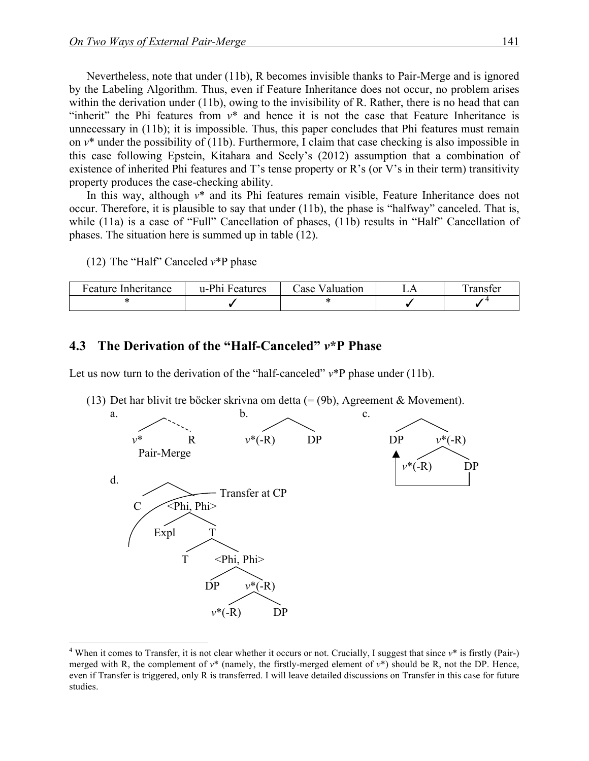Nevertheless, note that under (11b), R becomes invisible thanks to Pair-Merge and is ignored by the Labeling Algorithm. Thus, even if Feature Inheritance does not occur, no problem arises within the derivation under (11b), owing to the invisibility of R. Rather, there is no head that can "inherit" the Phi features from *v*\* and hence it is not the case that Feature Inheritance is unnecessary in (11b); it is impossible. Thus, this paper concludes that Phi features must remain on *v*\* under the possibility of (11b). Furthermore, I claim that case checking is also impossible in this case following Epstein, Kitahara and Seely's (2012) assumption that a combination of existence of inherited Phi features and T's tense property or R's (or V's in their term) transitivity property produces the case-checking ability.

In this way, although *v*\* and its Phi features remain visible, Feature Inheritance does not occur. Therefore, it is plausible to say that under (11b), the phase is "halfway" canceled. That is, while (11a) is a case of "Full" Cancellation of phases, (11b) results in "Half" Cancellation of phases. The situation here is summed up in table (12).

(12) The "Half" Canceled *v*\*P phase

| Feature Inheritance | u-Phi Features | Case Valuation | . ranster |
|---------------------|----------------|----------------|-----------|
|                     |                |                |           |

#### **4.3**xx**The Derivation of the "Half-Canceled"** *v***\*P Phase**

Let us now turn to the derivation of the "half-canceled"  $v^*P$  phase under (11b).

(13) Det har blivit tre böcker skrivna om detta (= (9b), Agreement & Movement).



<sup>&</sup>lt;sup>4</sup> When it comes to Transfer, it is not clear whether it occurs or not. Crucially, I suggest that since  $v^*$  is firstly (Pair-) merged with R, the complement of  $v^*$  (namely, the firstly-merged element of  $v^*$ ) should be R, not the DP. Hence, even if Transfer is triggered, only R is transferred. I will leave detailed discussions on Transfer in this case for future studies.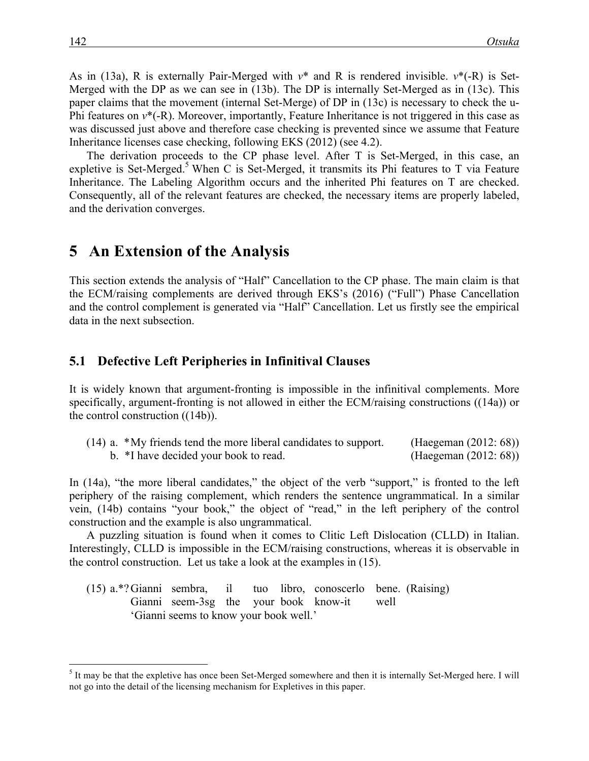As in (13a), R is externally Pair-Merged with *v*\* and R is rendered invisible. *v*\*(-R) is Set-Merged with the DP as we can see in (13b). The DP is internally Set-Merged as in (13c). This paper claims that the movement (internal Set-Merge) of DP in (13c) is necessary to check the u-Phi features on  $v^*(-R)$ . Moreover, importantly, Feature Inheritance is not triggered in this case as was discussed just above and therefore case checking is prevented since we assume that Feature Inheritance licenses case checking, following EKS (2012) (see 4.2).

The derivation proceeds to the CP phase level. After T is Set-Merged, in this case, an expletive is Set-Merged.<sup>5</sup> When C is Set-Merged, it transmits its Phi features to T via Feature Inheritance. The Labeling Algorithm occurs and the inherited Phi features on T are checked. Consequently, all of the relevant features are checked, the necessary items are properly labeled, and the derivation converges.

## **5** An Extension of the Analysis

This section extends the analysis of "Half" Cancellation to the CP phase. The main claim is that the ECM/raising complements are derived through EKS's (2016) ("Full") Phase Cancellation and the control complement is generated via "Half" Cancellation. Let us firstly see the empirical data in the next subsection.

#### **5.1**xx**Defective Left Peripheries in Infinitival Clauses**

It is widely known that argument-fronting is impossible in the infinitival complements. More specifically, argument-fronting is not allowed in either the ECM/raising constructions ((14a)) or the control construction ((14b)).

|  | $(14)$ a. $*$ My friends tend the more liberal candidates to support. | (Haegeman $(2012:68)$ ) |  |
|--|-----------------------------------------------------------------------|-------------------------|--|
|  | b. *I have decided your book to read.                                 | (Haegeman (2012: 68))   |  |

In (14a), "the more liberal candidates," the object of the verb "support," is fronted to the left periphery of the raising complement, which renders the sentence ungrammatical. In a similar vein, (14b) contains "your book," the object of "read," in the left periphery of the control construction and the example is also ungrammatical.

A puzzling situation is found when it comes to Clitic Left Dislocation (CLLD) in Italian. Interestingly, CLLD is impossible in the ECM/raising constructions, whereas it is observable in the control construction. Let us take a look at the examples in (15).

(15) a.\*?Gianni sembra, il tuo libro, conoscerlo bene. (Raising) Gianni seem-3sg the your book know-it well 'Gianni seems to know your book well.'

<sup>&</sup>lt;sup>5</sup> It may be that the expletive has once been Set-Merged somewhere and then it is internally Set-Merged here. I will not go into the detail of the licensing mechanism for Expletives in this paper.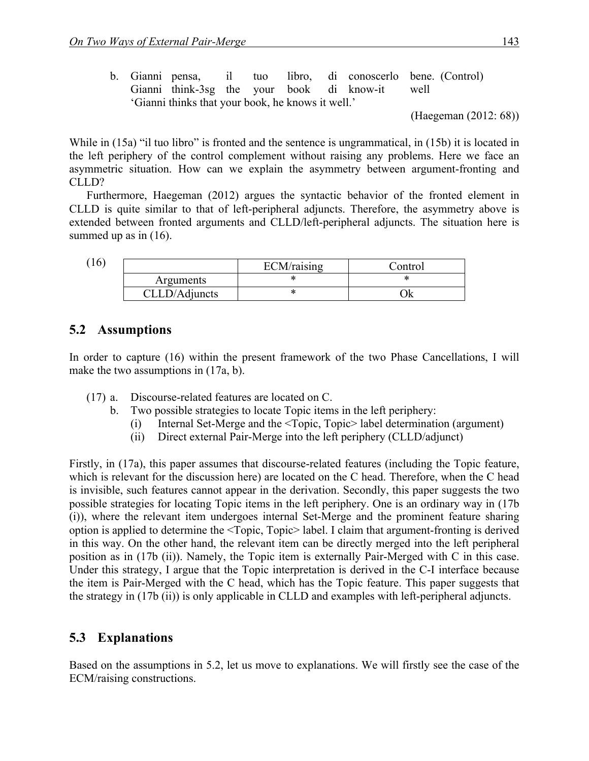|  |                                                   |  |  |                                                | b. Gianni pensa, il tuo libro, di conoscerlo bene (Control) |
|--|---------------------------------------------------|--|--|------------------------------------------------|-------------------------------------------------------------|
|  |                                                   |  |  | Gianni think-3sg the your book di know-it well |                                                             |
|  | 'Gianni thinks that your book, he knows it well.' |  |  |                                                |                                                             |

<sup>(</sup>Haegeman (2012: 68))

While in (15a) "il tuo libro" is fronted and the sentence is ungrammatical, in (15b) it is located in the left periphery of the control complement without raising any problems. Here we face an asymmetric situation. How can we explain the asymmetry between argument-fronting and CLLD?

Furthermore, Haegeman (2012) argues the syntactic behavior of the fronted element in CLLD is quite similar to that of left-peripheral adjuncts. Therefore, the asymmetry above is extended between fronted arguments and CLLD/left-peripheral adjuncts. The situation here is summed up as in  $(16)$ .

(16)

|               | ECM/raising | Control |
|---------------|-------------|---------|
| Arguments     |             |         |
| CLLD/Adjuncts |             |         |

## **5.2** Assumptions

In order to capture (16) within the present framework of the two Phase Cancellations, I will make the two assumptions in (17a, b).

- (17) a. Discourse-related features are located on C.
	- b. Two possible strategies to locate Topic items in the left periphery:
		- (i) Internal Set-Merge and the <Topic, Topic> label determination (argument)
		- (ii) Direct external Pair-Merge into the left periphery (CLLD/adjunct)

Firstly, in (17a), this paper assumes that discourse-related features (including the Topic feature, which is relevant for the discussion here) are located on the C head. Therefore, when the C head is invisible, such features cannot appear in the derivation. Secondly, this paper suggests the two possible strategies for locating Topic items in the left periphery. One is an ordinary way in (17b (i)), where the relevant item undergoes internal Set-Merge and the prominent feature sharing option is applied to determine the <Topic, Topic> label. I claim that argument-fronting is derived in this way. On the other hand, the relevant item can be directly merged into the left peripheral position as in (17b (ii)). Namely, the Topic item is externally Pair-Merged with C in this case. Under this strategy, I argue that the Topic interpretation is derived in the C-I interface because the item is Pair-Merged with the C head, which has the Topic feature. This paper suggests that the strategy in (17b (ii)) is only applicable in CLLD and examples with left-peripheral adjuncts.

### **5.3**xx**Explanations**

Based on the assumptions in 5.2, let us move to explanations. We will firstly see the case of the ECM/raising constructions.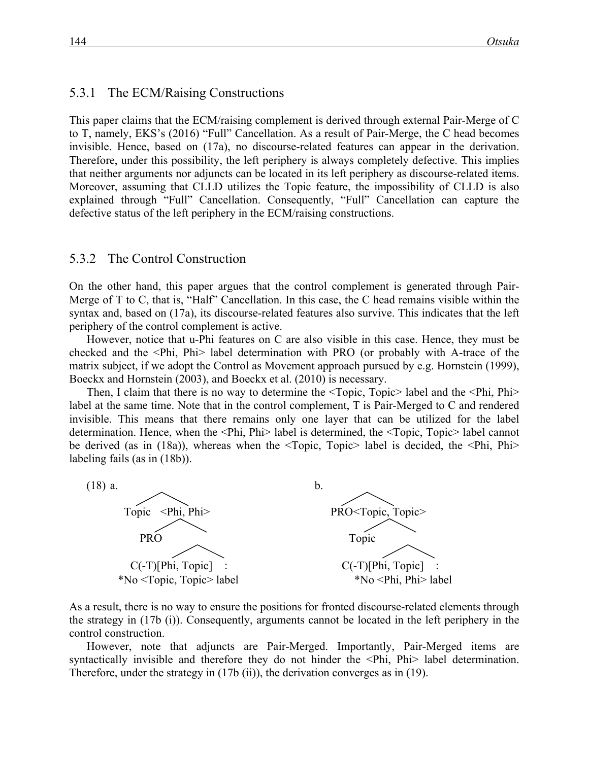#### 5.3.1 The ECM/Raising Constructions

This paper claims that the ECM/raising complement is derived through external Pair-Merge of C to T, namely, EKS's (2016) "Full" Cancellation. As a result of Pair-Merge, the C head becomes invisible. Hence, based on (17a), no discourse-related features can appear in the derivation. Therefore, under this possibility, the left periphery is always completely defective. This implies that neither arguments nor adjuncts can be located in its left periphery as discourse-related items. Moreover, assuming that CLLD utilizes the Topic feature, the impossibility of CLLD is also explained through "Full" Cancellation. Consequently, "Full" Cancellation can capture the defective status of the left periphery in the ECM/raising constructions.

#### 5.3.2 The Control Construction

On the other hand, this paper argues that the control complement is generated through Pair-Merge of T to C, that is, "Half" Cancellation. In this case, the C head remains visible within the syntax and, based on (17a), its discourse-related features also survive. This indicates that the left periphery of the control complement is active.

However, notice that u-Phi features on C are also visible in this case. Hence, they must be checked and the <Phi, Phi> label determination with PRO (or probably with A-trace of the matrix subject, if we adopt the Control as Movement approach pursued by e.g. Hornstein (1999), Boeckx and Hornstein (2003), and Boeckx et al. (2010) is necessary.

Then, I claim that there is no way to determine the <Topic, Topic> label and the <Phi, Phi> label at the same time. Note that in the control complement, T is Pair-Merged to C and rendered invisible. This means that there remains only one layer that can be utilized for the label determination. Hence, when the <Phi, Phi> label is determined, the <Topic, Topic> label cannot be derived (as in (18a)), whereas when the <Topic, Topic> label is decided, the <Phi, Phi> labeling fails (as in (18b)).



As a result, there is no way to ensure the positions for fronted discourse-related elements through the strategy in (17b (i)). Consequently, arguments cannot be located in the left periphery in the control construction.

However, note that adjuncts are Pair-Merged. Importantly, Pair-Merged items are syntactically invisible and therefore they do not hinder the <Phi, Phi> label determination. Therefore, under the strategy in (17b (ii)), the derivation converges as in (19).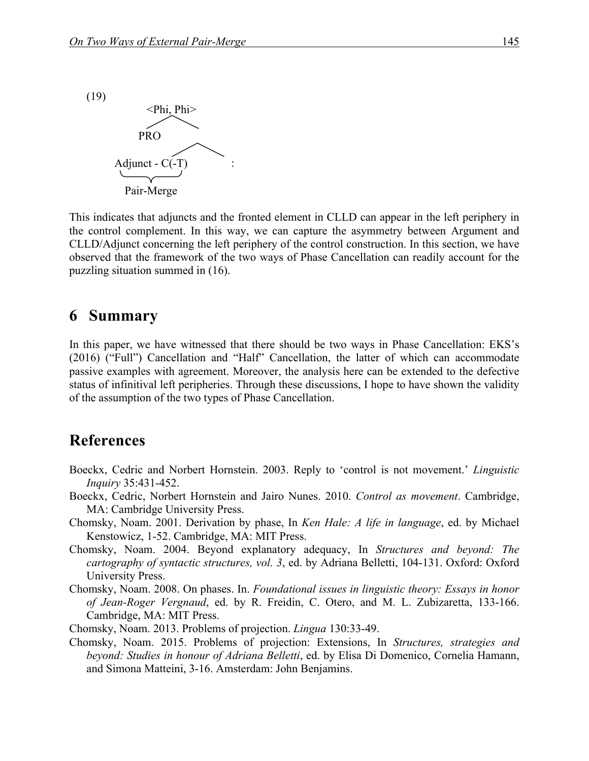

This indicates that adjuncts and the fronted element in CLLD can appear in the left periphery in the control complement. In this way, we can capture the asymmetry between Argument and CLLD/Adjunct concerning the left periphery of the control construction. In this section, we have observed that the framework of the two ways of Phase Cancellation can readily account for the puzzling situation summed in (16).

## **6** Summary

In this paper, we have witnessed that there should be two ways in Phase Cancellation: EKS's (2016) ("Full") Cancellation and "Half" Cancellation, the latter of which can accommodate passive examples with agreement. Moreover, the analysis here can be extended to the defective status of infinitival left peripheries. Through these discussions, I hope to have shown the validity of the assumption of the two types of Phase Cancellation.

## **References**

- Boeckx, Cedric and Norbert Hornstein. 2003. Reply to 'control is not movement.' *Linguistic Inquiry* 35:431-452.
- Boeckx, Cedric, Norbert Hornstein and Jairo Nunes. 2010. *Control as movement*. Cambridge, MA: Cambridge University Press.
- Chomsky, Noam. 2001. Derivation by phase, In *Ken Hale: A life in language*, ed. by Michael Kenstowicz, 1-52. Cambridge, MA: MIT Press.
- Chomsky, Noam. 2004. Beyond explanatory adequacy, In *Structures and beyond: The cartography of syntactic structures, vol. 3*, ed. by Adriana Belletti, 104-131. Oxford: Oxford University Press.
- Chomsky, Noam. 2008. On phases. In. *Foundational issues in linguistic theory: Essays in honor of Jean-Roger Vergnaud*, ed. by R. Freidin, C. Otero, and M. L. Zubizaretta, 133-166. Cambridge, MA: MIT Press.
- Chomsky, Noam. 2013. Problems of projection. *Lingua* 130:33-49.
- Chomsky, Noam. 2015. Problems of projection: Extensions, In *Structures, strategies and beyond: Studies in honour of Adriana Belletti*, ed. by Elisa Di Domenico, Cornelia Hamann, and Simona Matteini, 3-16. Amsterdam: John Benjamins.